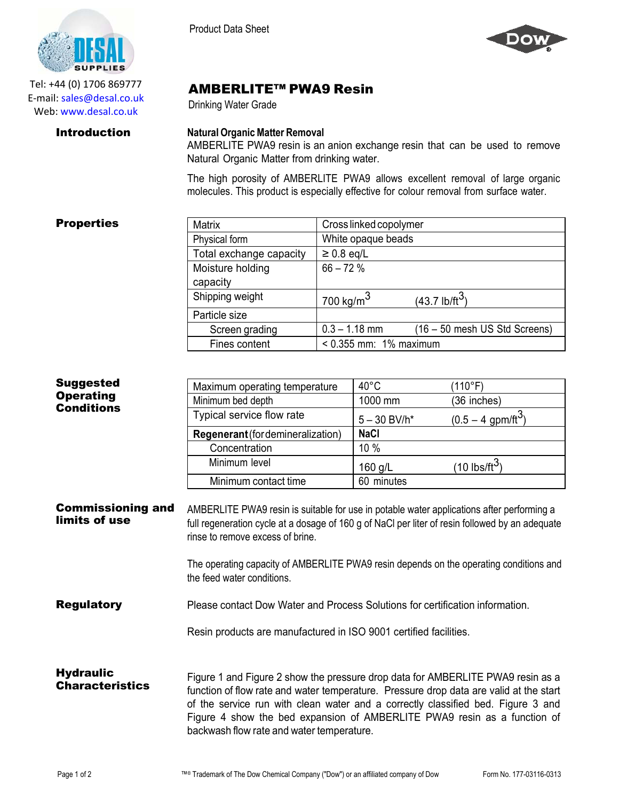

Tel: +44 (0) 1706 869777 E‐mail: sales@desal.co.uk Web: www.desal.co.uk

Product Data Sheet



# AMBERLITE™ PWA9 Resin

Drinking Water Grade

### **Introduction Natural Organic Matter Removal**

AMBERLITE PWA9 resin is an anion exchange resin that can be used to remove Natural Organic Matter from drinking water.

The high porosity of AMBERLITE PWA9 allows excellent removal of large organic molecules. This product is especially effective for colour removal from surface water.

## **Properties**

| <b>Matrix</b>           | Cross linked copolymer      |                               |
|-------------------------|-----------------------------|-------------------------------|
| Physical form           | White opaque beads          |                               |
| Total exchange capacity | $\geq 0.8$ eq/L             |                               |
| Moisture holding        | $66 - 72%$                  |                               |
| capacity                |                             |                               |
| Shipping weight         | 700 kg/m $3$                | (43.7 lb/ft <sup>3</sup> )    |
| Particle size           |                             |                               |
| Screen grading          | $0.3 - 1.18$ mm             | (16 – 50 mesh US Std Screens) |
| Fines content           | $< 0.355$ mm: $1\%$ maximum |                               |
|                         |                             |                               |

| Suggested<br><b>Operating</b><br><b>Conditions</b> | Maximum operating temperature     | $40^{\circ}$ C | (110°F)                          |
|----------------------------------------------------|-----------------------------------|----------------|----------------------------------|
|                                                    | Minimum bed depth                 | 1000 mm        | (36 inches)                      |
|                                                    | Typical service flow rate         | $5 - 30$ BV/h* | $(0.5 - 4$ gpm/ft <sup>3</sup> ) |
|                                                    | Regenerant (for demineralization) | <b>NaCl</b>    |                                  |
|                                                    | Concentration                     | 10 %           |                                  |
|                                                    | Minimum level                     | 160 g/L        | $(10$ lbs/ft <sup>3</sup> )      |
|                                                    | Minimum contact time              | 60 minutes     |                                  |

Commissioning and limits of use AMBERLITE PWA9 resin is suitable for use in potable water applications after performing a full regeneration cycle at a dosage of 160 g of NaCl per liter of resin followed by an adequate rinse to remove excess of brine.

> The operating capacity of AMBERLITE PWA9 resin depends on the operating conditions and the feed water conditions.

**Regulatory** Please contact Dow Water and Process Solutions for certification information.

Resin products are manufactured in ISO 9001 certified facilities.

**Hydraulic Characteristics** Figure 1 and Figure 2 show the pressure drop data for AMBERLITE PWA9 resin as a function of flow rate and water temperature. Pressure drop data are valid at the start of the service run with clean water and a correctly classified bed. Figure 3 and Figure 4 show the bed expansion of AMBERLITE PWA9 resin as a function of backwash flow rate and water temperature.